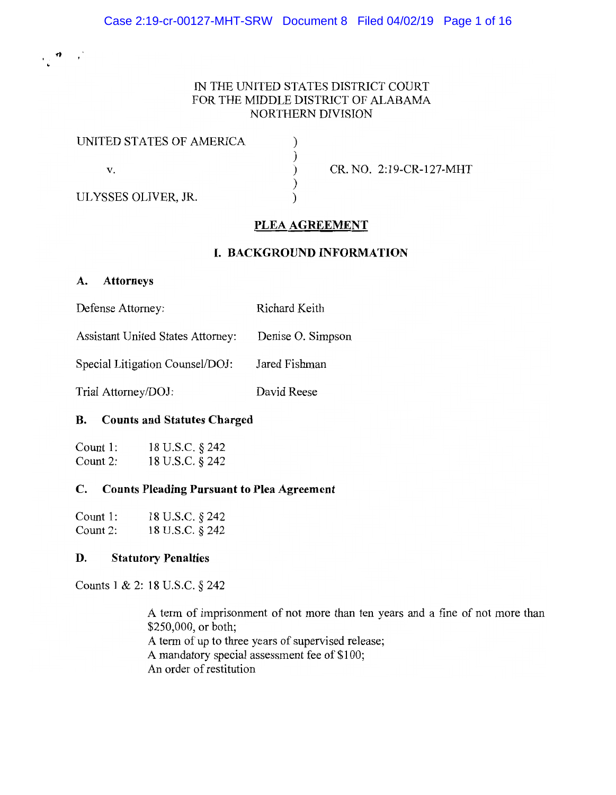# IN THE UNITED STATES DISTRICT COURT FOR THE MIDDLE DISTRICT OF ALABAMA NORTHERN DIVISION

 $\mathcal{E}$  $\mathcal{E}$  $\mathcal{L}$  $\mathcal{L}$  $\lambda$ 

| UNITED STATES OF AMERICA |  |
|--------------------------|--|
| V.                       |  |
| ULYSSES OLIVER, JR.      |  |

CR. NO. 2:19-CR-127-MHT

# PLEA AGREEMENT

# I. BACKGROUND INFORMATION

# A. Attorneys

Defense Attorney: Richard Keith

Assistant United States Attorney: Denise O. Simpson

Special Litigation Counsel/DOJ: Jared Fishman

Trial Attorney/DOJ: David Reese

# B. Counts and Statutes Charged

| Count 1: | 18 U.S.C. § 242 |
|----------|-----------------|
| Count 2: | 18 U.S.C. § 242 |

# C. Counts Pleading Pursuant to Plea Agreement

| Count 1: | 18 U.S.C. § 242 |
|----------|-----------------|
| Count 2: | 18 U.S.C. § 242 |

# D. Statutory Penalties

Counts 1 & 2: 18 U.S.C. § 242

A term of imprisonment of not more than ten years and a fine of not more than \$250,000, or both; A term of up to three years of supervised release; A mandatory special assessment fee of \$100; An order of restitution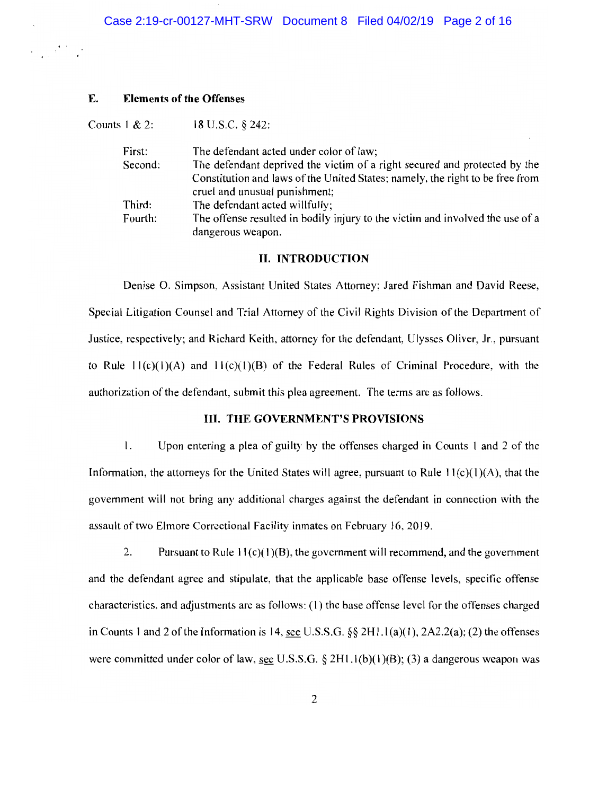#### E. Elements of the Offenses

Counts 1 & 2: 18 U.S.C. § 242:

| First:  | The defendant acted under color of law;                                       |
|---------|-------------------------------------------------------------------------------|
| Second: | The defendant deprived the victim of a right secured and protected by the     |
|         | Constitution and laws of the United States; namely, the right to be free from |
|         | cruel and unusual punishment;                                                 |
| Third:  | The defendant acted willfully;                                                |
| Fourth: | The offense resulted in bodily injury to the victim and involved the use of a |
|         | dangerous weapon.                                                             |

### II. INTRODUCTION

Denise O. Simpson, Assistant United States Attorney; Jared Fishman and David Reese, Special Litigation Counsel and Trial Attorney of the Civil Rights Division of the Department of Justice, respectively; and Richard Keith, attorney for the defendant, Ulysses Oliver, Jr., pursuant to Rule  $11(c)(1)(A)$  and  $11(c)(1)(B)$  of the Federal Rules of Criminal Procedure, with the authorization of the defendant, submit this plea agreement. The terms are as follows.

### III. THE GOVERNMENT'S PROVISIONS

l. Upon entering a plea of guilty by the offenses charged in Counts 1 and 2 of the Information, the attorneys for the United States will agree, pursuant to Rule  $11(c)(1)(A)$ , that the government will not bring any additional charges against the defendant in connection with the assault of two Elmore Correctional Facility inmates on February 16, 2019.

2. Pursuant to Rule  $11(c)(1)(B)$ , the government will recommend, and the government and the defendant agree and stipulate, that the applicable base offense levels, specific offense characteristics, and adjustments are as follows: (1) the base offense level for the offenses charged in Counts 1 and 2 of the Information is 14, see U.S.S.G. §§  $2H1.1(a)(1)$ ,  $2A2.2(a)$ ; (2) the offenses were committed under color of law, see U.S.S.G. § 2H1.1(b)(1)(B); (3) a dangerous weapon was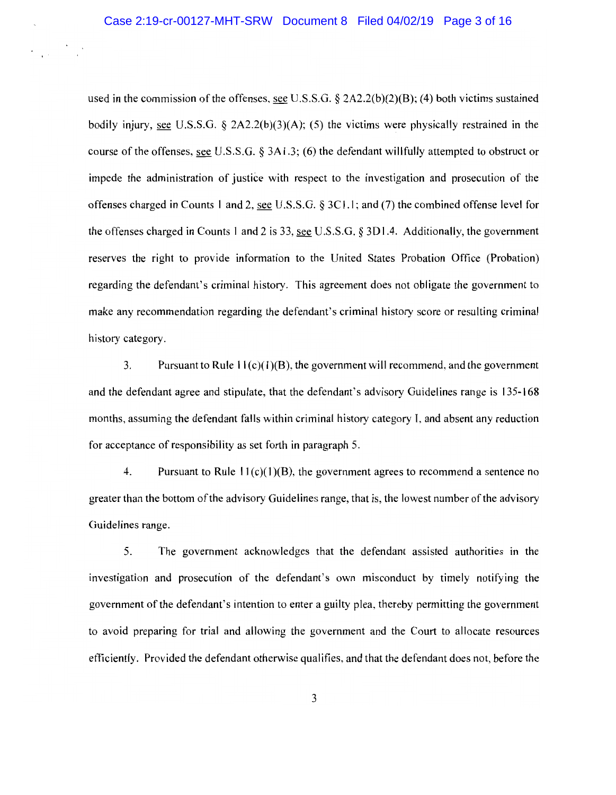used in the commission of the offenses, see U.S.S.G.  $\S$  2A2.2(b)(2)(B); (4) both victims sustained bodily injury, see U.S.S.G.  $\S$  2A2.2(b)(3)(A); (5) the victims were physically restrained in the course of the offenses, see U.S.S.G. § 3A1.3; (6) the defendant willfully attempted to obstruct or impede the administration of justice with respect to the investigation and prosecution of the offenses charged in Counts 1 and 2, see U.S.S.G. § 3C1.1; and (7) the combined offense level for the offenses charged in Counts 1 and 2 is 33, see U.S.S.G. § 3D1.4. Additionally, the government reserves the right to provide information to the United States Probation Office (Probation) regarding the defendant's criminal history. This agreement does not obligate the government to make any recommendation regarding the defendant's criminal history score or resulting criminal history category.

3. Pursuant to Rule  $11(c)(1)(B)$ , the government will recommend, and the government and the defendant agree and stipulate, that the defendant's advisory Guidelines range is 135-168 months, assuming the defendant falls within criminal history category I, and absent any reduction for acceptance of responsibility as set forth in paragraph 5.

4. Pursuant to Rule  $11(c)(1)(B)$ , the government agrees to recommend a sentence no greater than the bottom of the advisory Guidelines range, that is, the lowest number of the advisory Guidelines range.

5. The government acknowledges that the defendant assisted authorities in the investigation and prosecution of the defendant's own misconduct by timely notifying the government of the defendant's intention to enter a guilty plea, thereby permitting the government to avoid preparing for trial and allowing the government and the Court to allocate resources efficiently. Provided the defendant otherwise qualifies, and that the defendant does not, before the

3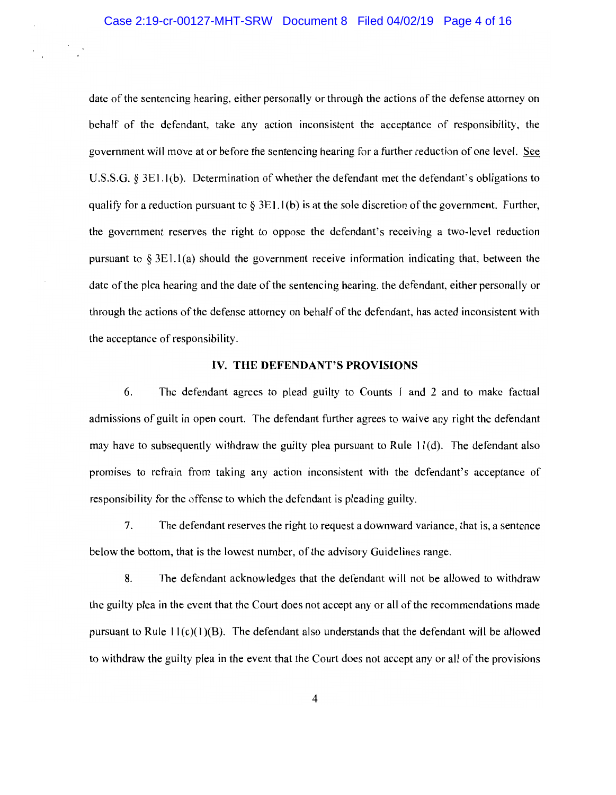## Case 2:19-cr-00127-MHT-SRW Document 8 Filed 04/02/19 Page 4 of 16

date of the sentencing hearing, either personally or through the actions of the defense attorney on behalf of the defendant, take any action inconsistent the acceptance of responsibility, the government will move at or before the sentencing hearing for a further reduction of one level. See U.S.S.G. § 3E1.1 (b). Determination of whether the defendant met the defendant's obligations to qualify for a reduction pursuant to  $\S 3E1.1(b)$  is at the sole discretion of the government. Further, the government reserves the right to oppose the defendant's receiving a two-level reduction pursuant to  $\S 3E1.1(a)$  should the government receive information indicating that, between the date of the plea hearing and the date of the sentencing hearing, the defendant, either personally or through the actions of the defense attorney on behalf of the defendant, has acted inconsistent with the acceptance of responsibility.

## IV. THE DEFENDANT'S PROVISIONS

6. The defendant agrees to plead guilty to Counts 1 and 2 and to make factual admissions of guilt in open court. The defendant further agrees to waive any right the defendant may have to subsequently withdraw the guilty plea pursuant to Rule  $11(d)$ . The defendant also promises to refrain from taking any action inconsistent with the defendant's acceptance of responsibility for the offense to which the defendant is pleading guilty.

7. The defendant reserves the right to request a downward variance, that is, a sentence below the bottom, that is the lowest number, of the advisory Guidelines range.

8. The defendant acknowledges that the defendant will not be allowed to withdraw the guilty plea in the event that the Court does not accept any or all of the recommendations made pursuant to Rule  $11(c)(1)(B)$ . The defendant also understands that the defendant will be allowed to withdraw the guilty plea in the event that the Court does not accept any or all of the provisions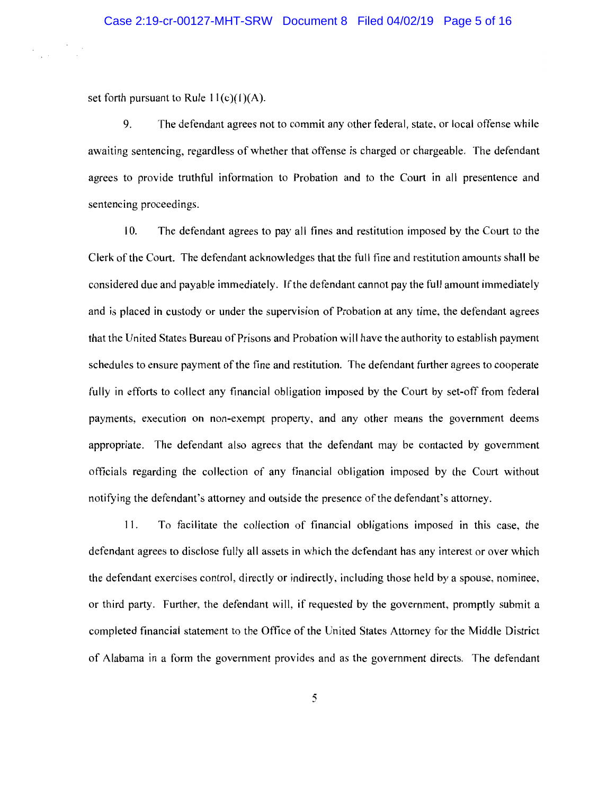set forth pursuant to Rule  $11(c)(1)(A)$ .

9. The defendant agrees not to commit any other federal, state, or local offense while awaiting sentencing, regardless of whether that offense is charged or chargeable. The defendant agrees to provide truthful information to Probation and to the Court in alI presentence and sentencing proceedings.

I 0. The defendant agrees to pay all fines and restitution imposed by the Court to the Clerk of the Court. The defendant acknowledges that the full fine and restitution amounts shall be considered due and payable immediately. If the defendant cannot pay the full amount immediately and is placed in custody or under the supervision of Probation at any time, the defendant agrees that the United States Bureau of Prisons and Probation will have the authority to establish payment schedules to ensure payment of the fine and restitution. The defendant further agrees to cooperate fully in efforts to collect any financial obligation imposed by the Court by set-off from federal payments, execution on non-exempt property, and any other means the government deems appropriate. The defendant also agrees that the defendant may be contacted by government officials regarding the collection of any financial obligation imposed by the Court without notifying the defendant's attorney and outside the presence of the defendant's attomey.

11. To facilitate the collection of financial obligations imposed in this case, the defendant agrees to disclose fully all assets in which the defendant has any interest or over which the defendant exercises control, directly or indirectly, including those held by a spouse, nominee, or third party. Further, the defendant will, if requested by the government, promptly submit a completed financial statement to the Office of the United States Attorney for the Middle District of Alabama in a form the government provides and as the govemment directs. The defendant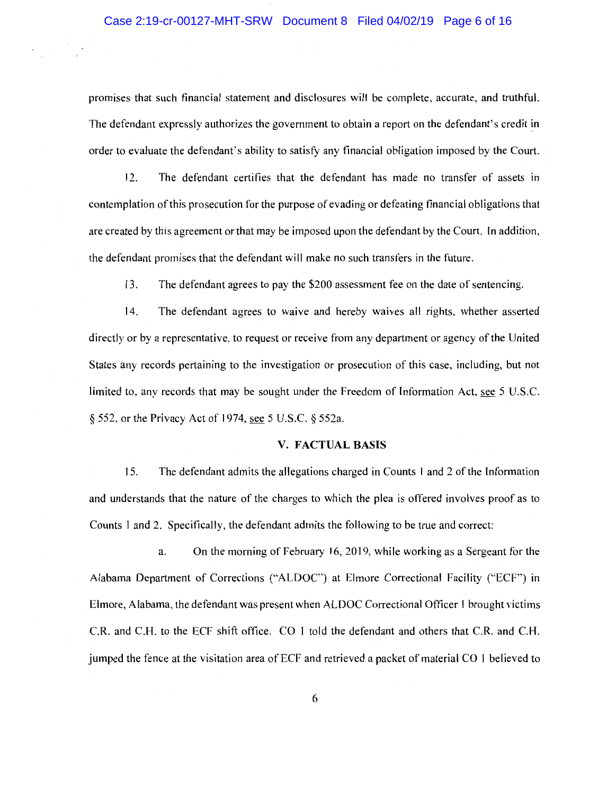### Case 2:19-cr-00127-MHT-SRW Document 8 Filed 04/02/19 Page 6 of 16

promises that such financial statement and disclosures will be complete, accurate, and truthful. The defendant expressly authorizes the government to obtain a report on the defendant's credit in order to evaluate the defendant's ability to satisfy any financial obligation imposed by the Court.

12. The defendant certifies that the defendant has made no transfer of assets in contemplation of this prosecution for the purpose of evading or defeating financial obligations that are created by this agreement or that may be imposed upon the defendant by the Court. In addition, the defendant promises that the defendant will make no such transfers in the future.

13. The defendant agrees to pay the \$200 assessment fee on the date of sentencing.

14. The defendant agrees to waive and hereby waives all rights, whether asserted directly or by a representative, to request or receive from any department or agency of the United States any records pertaining to the investigation or prosecution of this case, including, but not limited to, any records that may be sought under the Freedom of Information Act, see 5 U.S.C. § 552, or the Privacy Act of 1974, see 5 U.S.C. § 552a.

#### V. FACTUAL BASIS

15. The defendant admits the allegations charged in Counts 1 and 2 of the Information and understands that the nature of the charges to which the plea is offered involves proof as to Counts 1 and 2. Specifically, the defendant admits the following to be true and correct:

a. On the morning of February 16, 2019, while working as a Sergeant for the Alabama Department of Corrections ("ALDOC") at Elmore Correctional Facility ("ECF") in Elmore, Alabama, the defendant was present when ALDOC Correctional Officer I brought victims C.R. and C.H. to the ECF shift office. CO 1 told the defendant and others that C.R. and C.H. jumped the fence at the visitation area of ECF and retrieved a packet of material CO 1 believed to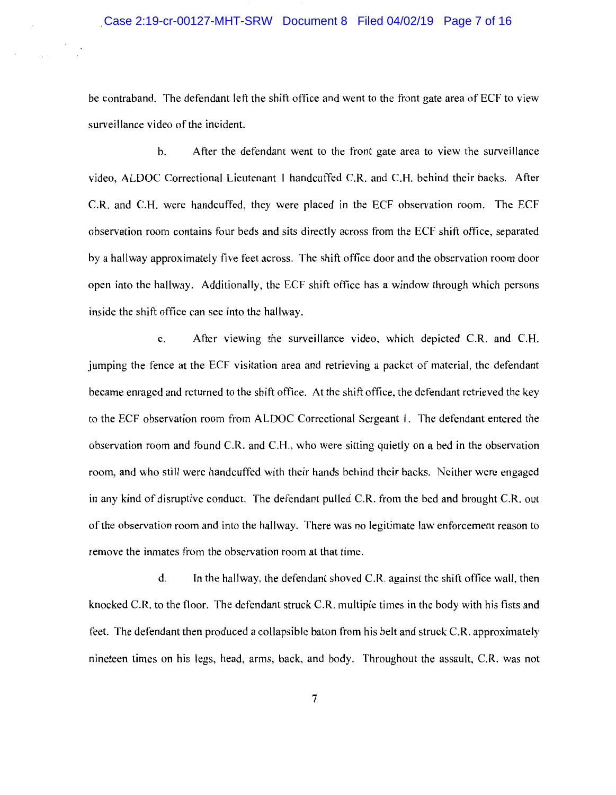### Case 2:19-cr-00127-MHT-SRW Document 8 Filed 04/02/19 Page 7 of 16

be contraband. The defendant left the shift office and went to the front gate area of ECF to view surveillance video of the incident.

b. After the defendant went to the front gate area to view the surveillance video, ALDOC Correctional Lieutenant l handcuffed C.R. and C.H. behind their backs. After C.R. and C.H. were handcuffed, they were placed in the ECF observation room. The ECF observation room contains four beds and sits directly across from the ECF shift office, separated by a hallway approximately five feet across. The shift office door and the observation room door open into the hallway. Additionally, the ECF shift office has a window through which persons inside the shift office can see into the hallway.

c. After viewing the surveillance video, which depicted C.R. and C.H. jumping the fence at the ECF visitation area and retrieving a packet of material, the defendant became enraged and returned to the shift office. At the shift office, the defendant retrieved the key to the ECF observation room from ALDOC Correctional Sergeant 1. The defendant entered the observation room and found C.R. and C.H., who were sitting quietly on a bed in the observation room, and who still were handcuffed with their hands behind their backs. Neither were engaged in any kind of disruptive conduct. The defendant pulled C.R. from the bed and brought C.R. out of the observation room and into the hallway. There was no legitimate law enforcement reason to remove the inmates from the observation room at that time.

d. In the hallway, the defendant shoved C.R. against the shift office wall, then knocked C.R. to the floor. The defendant struck C.R. multiple times in the body with his fists and feet. The defendant then produced a collapsible baton from his belt and struck C.R. approximately nineteen times on his legs, head, arms, back, and body. Throughout the assault, C.R. was not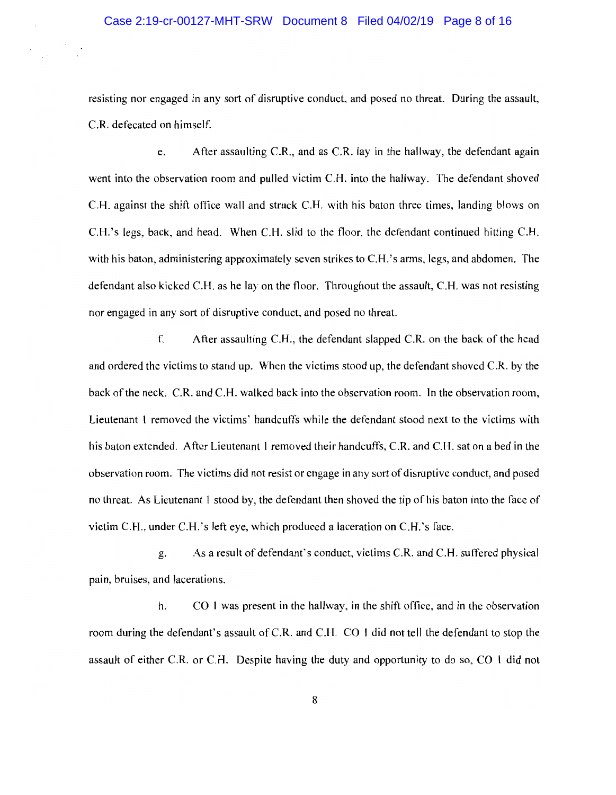resisting nor engaged in any sort of disruptive conduct, and posed no threat. During the assault, C.R. defecated on himself.

e. After assaulting C.R., and as C.R. lay in the hallway, the defendant again went into the observation room and pulled victim C.H. into the hallway. The defendant shoved C.H. against the shift office wall and struck C.H. with his baton three times, landing blows on C.H.'s Iegs, back, and head. When C.H. slid to the floor, the defendant continued hitting C.H. with his baton, administering approximately seven strikes to C.H.'s arms, legs, and abdomen. The defendant also kicked C.H. as he lay on the floor. Throughout the assault, C.H. was not resisting nor engaged in any sort of disruptive conduct, and posed no threat.

f. After assaulting C.H., the defendant slapped C.R. on the back of the head and ordered the victims to stand up. When the victims stood up, the defendant shoved C.R. by the back of the neck. C.R, and C.H. walked back into the observation room. In the observation room, Lieutenant I removed the victims' handcuffs while the defendant stood next to the victims with his baton extended. After Lieutenant 1 removed their handcuffs, C.R. and C.H. sat on a bed in the observation room. The victims did not resist or engage in any sort of disruptive conduct, and posed no threat. As Lieutenant l stood by, the defendant then shoved the tip of his baton into the face of victim C.FI., under C.H.'s left eye, which produced a laceration on C.H.'s face.

g. As a result of defendant's conduct, victims C.R. and C.H. suffered physical pain, bruises, and lacerations.

h. CO 1 was present in the hallway, in the shift office, and in the observation room during the defendant's assault of C.R. and C.H. CO I did not tell the defendant to stop the assault of either C.R. or C.H. Despite having the duty and opportunity to do so, CO 1 did not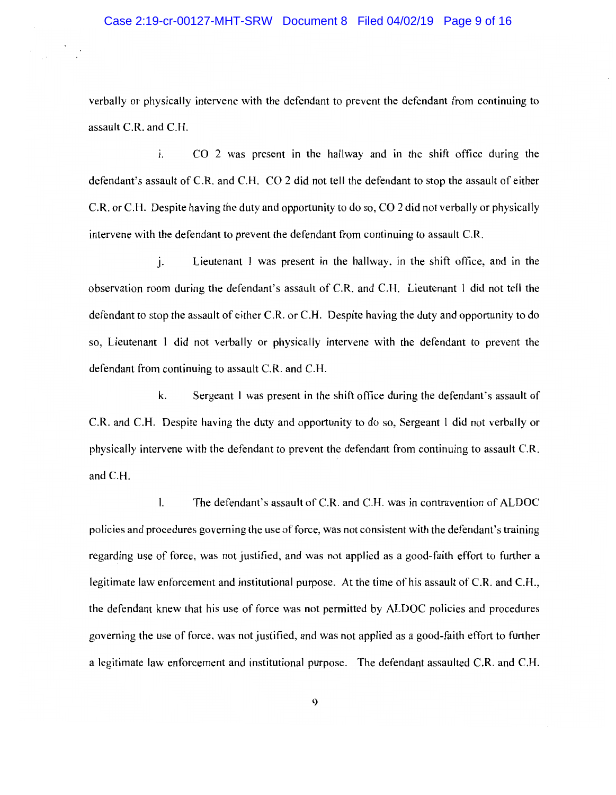verbally or physically intervene with the defendant to prevent the defendant from continuing to assault C.R. and C.H.

i. CO 2 was present in the hallway and in the shift office during the defendant's assault of C.R. and C.H. CO 2 did not tell the defendant to stop the assault of either C.R. or C.H. Despite having the duty and opportunity to do so, CO 2 did not verbally or physically intervene with the defendant to prevent the defendant from continuing to assault C.R.

j. Lieutenant 1 was present in the hallway, in the shift office, and in the observation room during the defendant's assault of C.R. and C.H. Lieutenant 1 did not tell the defendant to stop the assault of either C.R. or C.H. Despite having the duty and opportunity to do so, Lieutenant 1 did not verbally or physically intervene with the defendant to prevent the defendant from continuing to assault C.R. and C.H.

k. Sergeant l was present in the shift office during the defendant's assault of C.R. and C.H. Despite having the duty and opportunity to do so, Sergeant 1 did not verbally or physically intervene with the defendant to prevent the defendant from continuing to assault C.R. and C.H.

l. The defendant's assault of C.R. and C.H. was in contravention of ALDOC policies and procedures governing the use of force, was not consistent with the defendant's training regarding use of force, was not justified, and was not applied as a good-faith effort to further a legitimate law enforcement and institutional purpose. At the time of his assault of C.R. and C.H., the defendant knew that his use of force was not permitted by ALDOC policies and procedures governing the use of force, was not justified, and was not applied as a good-faith effort to further a legitimate law enforcement and institutional purpose. The defendant assaulted C.R. and C.H.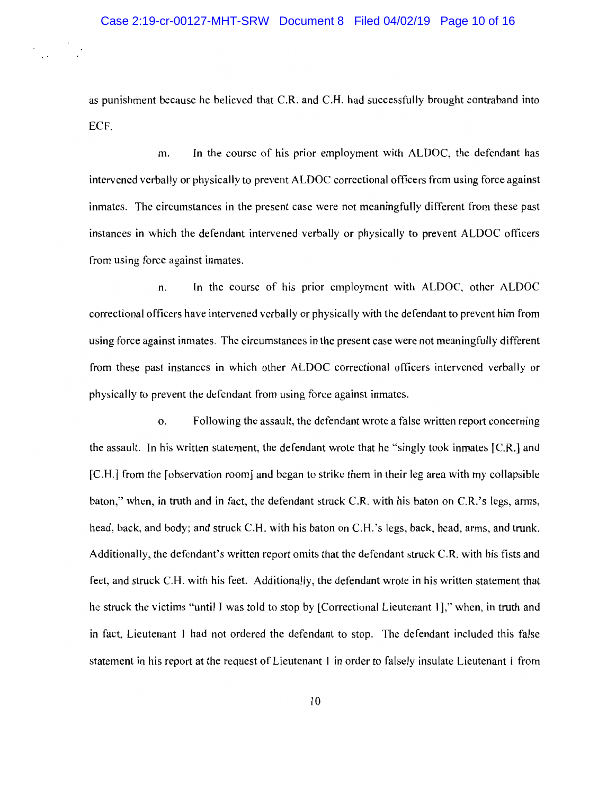as punishment because he believed that C.R. and C.H. had successfully brought contraband into ECF.

m. In the course of his prior employment with ALDOC, the defendant has intervened verbally or physically to prevent ALDOC correctional officers from using force against inmates. The circumstances in the present case were not meaningfully different from these past instances in which the defendant intervened verbally or physically to prevent ALDOC officers from using force against inmates.

n. In the course of his prior employment with ALDOC, other ALDOC correctional officers have intervened verbally or physically with the defendant to prevent him from using force against inmates. The circumstances in the present case were not meaningfully different from these past instances in which other ALDOC correctional officers intervened verbally or physically to prevent the defendant from using force against inmates.

o. Following the assault, the defendant wrote a false written report concerning the assault. In his written statement, the defendant wrote that he "singly took inmates [C.R.] and [C.H.] from the [observation room] and began to strike them in their leg area with my collapsible baton," when, in truth and in fact, the defendant struck C.R. with his baton on C.R.'s legs, arms, head, back, and body; and struck C.H. with his baton on C.H.'s legs, back, head, arms, and trunk. Additionally, the defendant's written report omits that the defendant struck C.R. with his fists and feet, and struck C.H. with his feet. Additionally, the defendant wrote in his written statement that he struck the victims "until I was told to stop by [Correctional Lieutenant 1]," when, in truth and in fact, Lieutenant I had not ordered the defendant to stop. The defendant included this false statement in his report at the request of Lieutenant 1 in order to falsely insulate Lieutenant 1 from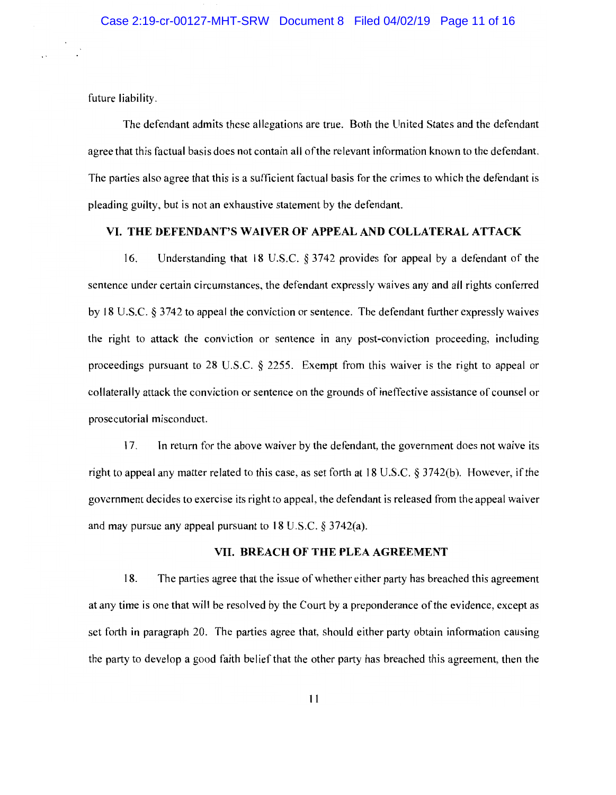future liability.

The defendant admits these allegations are true. Both the United States and the defendant agree that this factual basis does not contain all of the relevant information known to the defendant. The parties also agree that this is a sufficient factual basis for the crimes to which the defendant is pleading guilty, but is not an exhaustive statement by the defendant.

## VI. THE DEFENDANT'S WAIVER OF APPEAL AND COLLATERAL ATTACK

16. Understanding that 18 U.S.C. § 3742 provides for appeal by a defendant of the sentence under certain circumstances, the defendant expressly waives any and all rights conferred by 18 U.S.C. § 3742 to appeal the conviction or sentence. The defendant further expressly waives the right to attack the conviction or sentence in any post-conviction proceeding, including proceedings pursuant to 28 U.S.C. § 2255. Exempt from this waiver is the right to appeal or collaterally attack the conviction or sentence on the grounds of ineffective assistance of counsel or prosecutorial misconduct.

17. In return for the above waiver by the defendant, the government does not waive its right to appeal any matter related to this case, as set forth at 18 U.S.C. § 3742(b). However, if the government decides to exercise its right to appeal, the defendant is released from the appeal waiver and may pursue any appeal pursuant to 18 U.S.C.  $\S 3742(a)$ .

## VII. BREACH OF THE PLEA AGREEMENT

18. The parties agree that the issue of whether either party has breached this agreement at any time is one that will be resolved by the Court by a preponderance of the evidence, except as set forth in paragraph 20. The parties agree that, should either party obtain information causing the party to develop a good faith belief that the other party has breached this agreement, then the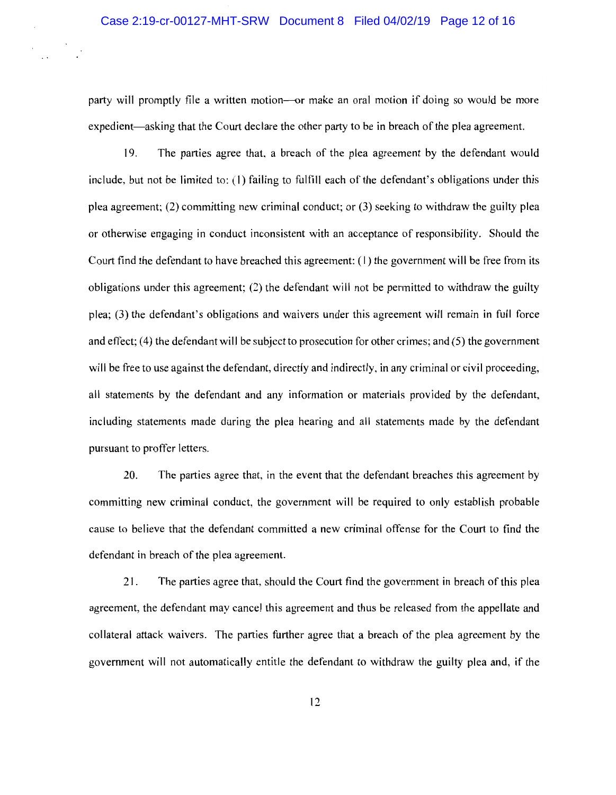### Case 2:19-cr-00127-MHT-SRW Document 8 Filed 04/02/19 Page 12 of 16

party will promptly file a written motion—or make an oral motion if doing so would be more expedient—asking that the Court declare the other party to be in breach of the plea agreement.

19. The parties agree that, a breach of the plea agreement by the defendant would include, but not be limited to: (1) failing to fulfill each of the defendant's obligations under this plea agreement; (2) committing new criminal conduct; or (3) seeking to withdraw the guilty plea or otherwise engaging in conduct inconsistent with an acceptance of responsibility. Should the Court find the defendant to have breached this agreement: (1) the government will be free from its obligations under this agreement; (2) the defendant will not be permitted to withdraw the guilty plea; (3) the defendant's obligations and waivers under this agreement will remain in full force and effect;  $(4)$  the defendant will be subject to prosecution for other crimes; and  $(5)$  the government will be free to use against the defendant, directly and indirectly, in any criminal or civil proceeding, aII statements by the defendant and any information or materials provided by the defendant, including statements made during the plea hearing and aII statements made by the defendant pursuant to proffer letters.

20. The parties agree that, in the event that the defendant breaches this agreement by committing new criminal conduct, the government will be required to only establish probable cause to believe that the defendant committed a new criminal offense for the Court to find the defendant in breach of the plea agreement.

21. The parties agree that, should the Court find the government in breach of this plea agreement, the defendant may cancel this agreement and thus be released from the appellate and collateral attack waivers. The parties further agree that a breach of the plea agreement by the government will not automatically entitle the defendant to withdraw the guilty plea and, if the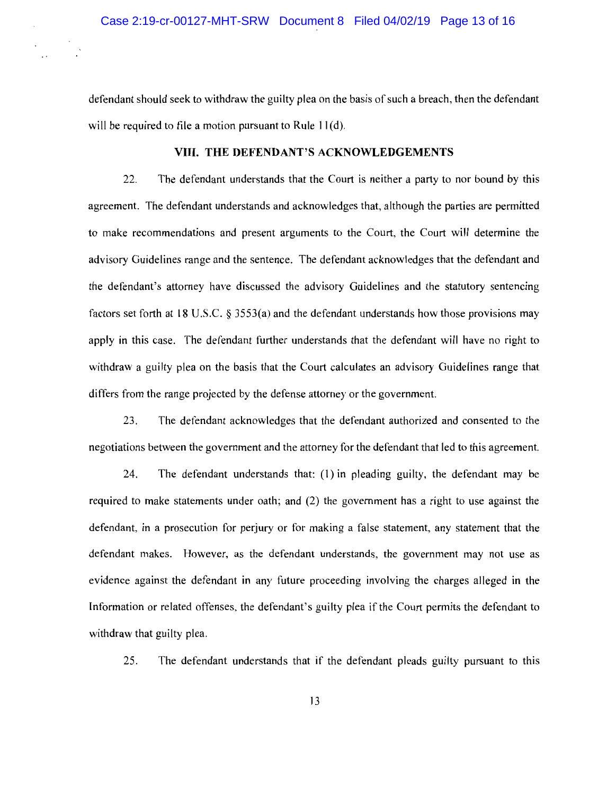defendant should seek to withdraw the guilty plea on the basis of such a breach, then the defendant will be required to file a motion pursuant to Rule 11(d).

## VIII. THE DEFENDANT'S ACKNOWLEDGEMENTS

22. The defendant understands that the Court is neither a party to nor bound by this agreement. The defendant understands and acknowledges that, although the parties are permitted to make recommendations and present arguments to the Court, the Court will determine the advisory Guidelines range and the sentence. The defendant acknowledges that the defendant and the defendant's attorney have discussed the advisory Guidelines and the statutory sentencing factors set forth at 18 U.S.C. § 3553(a) and the defendant understands how those provisions may apply in this case. The defendant further understands that the defendant will have no right to withdraw a guilty plea on the basis that the Court calculates an advisory Guidelines range that differs from the range projected by the defense attorney or the government.

23. The defendant acknowledges that the defendant authorized and consented to the negotiations between the government and the attorney for the defendant that led to this agreement.

24. The defendant understands that: (1) in pleading guilty, the defendant may be required to make statements under oath; and (2) the government has a right to use against the defendant, in a prosecution for perjury or for making a false statement, any statement that the defendant makes. However, as the defendant understands, the government may not use as evidence against the defendant in any future proceeding involving the charges alleged in the Information or related offenses, the defendant's guilty plea if the Court permits the defendant to withdraw that guilty plea.

25. The defendant understands that if the defendant pleads guilty pursuant to this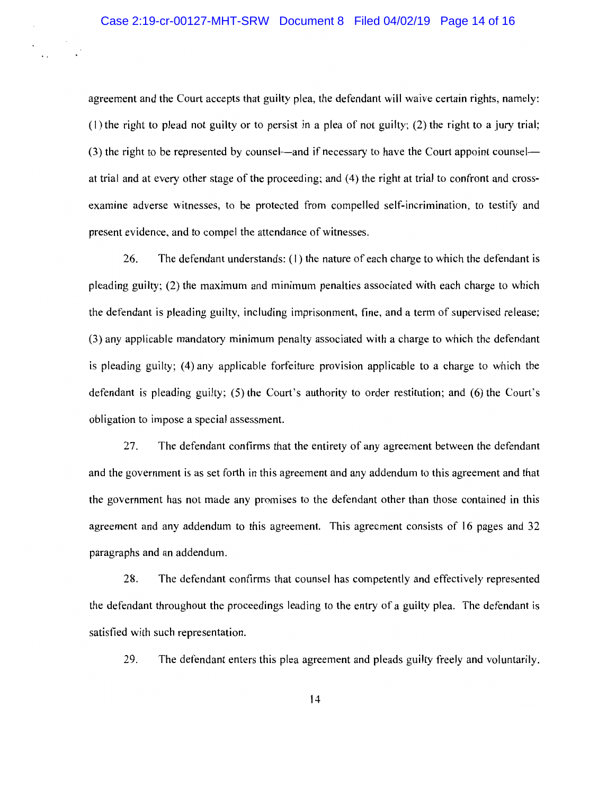agreement and the Court accepts that guilty plea, the defendant will waive certain rights, namely: (1) the right to plead not guilty or to persist in a plea of not guilty; (2) the right to a jury trial; (3) the right to be represented by counsel—and if necessary to have the Court appoint counsel at trial and at every other stage of the proceeding; and (4) the right at trial to confront and crossexamine adverse witnesses, to be protected from compelled self-incrimination, to testify and present evidence, and to compel the attendance of witnesses.

26. The defendant understands: (1) the nature of each charge to which the defendant is pleading guilty; (2) the maximum and minimum penalties associated with each charge to which the defendant is pleading guilty, including imprisonment, fine, and a term of supervised release; (3) any applicable mandatory minimum penalty associated with a charge to which the defendant is pleading guilty; (4) any applicable forfeiture provision applicable to a charge to which the defendant is pleading guilty; (5) the Court's authority to order restitution; and (6) the Court's obligation to impose a special assessment.

27. The defendant confirms that the entirety of any agreement between the defendant and the government is as set forth in this agreement and any addendum to this agreement and that the government has not made any promises to the defendant other than those contained in this agreement and any addendum to this agreement. This agreement consists of 16 pages and 32 paragraphs and an addendum.

28. The defendant confirms that counsel has competently and effectively represented the defendant throughout the proceedings leading to the entry of a guilty plea. The defendant is satisfied with such representation.

29. The defendant enters this plea agreement and pleads guilty freely and voluntarily.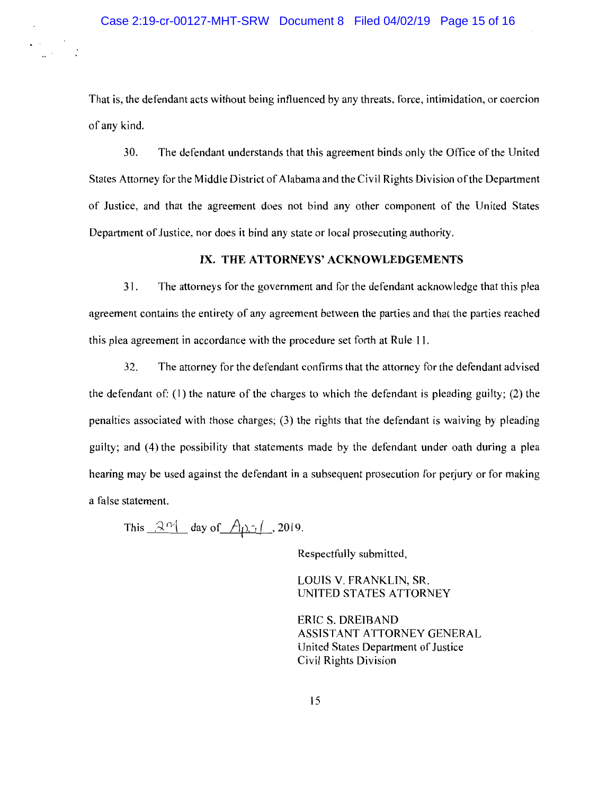That is, the defendant acts without being influenced by any threats, force, intimidation, or coercion of any kind.

30. The defendant understands that this agreement binds only the Office of the United States Attorney for the Middle District of Alabama and the Civil Rights Division of the Department of Justice, and that the agreement does not bind any other component of the United States Department of Justice, nor does it bind any state or local prosecuting authority.

## IX. THE ATTORNEYS' ACKNOWLEDGEMENTS

31. The attorneys for the government and for the defendant acknowledge that this plea agreement contains the entirety of any agreement between the parties and that the parties reached this plea agreement in accordance with the procedure set forth at Rule 11.

32. The attorney for the defendant confirms that the attorney for the defendant advised the defendant of: (1) the nature of the charges to which the defendant is pleading guilty; (2) the penalties associated with those charges; (3) the rights that the defendant is waiving by pleading guilty; and (4) the possibility that statements made by the defendant under oath during a plea hearing may be used against the defendant in a subsequent prosecution for perjury or for making a false statement.

This  $\mathcal{R}^{\gamma}$  day of  $\mathcal{A}_{\gamma}$  , 2019.

Respectfully submitted,

LOUIS V. FRANKLIN, SR. UNITED STATES ATTORNEY

ERIC S. DREIBAND ASSISTANT ATTORNEY GENERAL United States Department of Justice Civil Rights Division